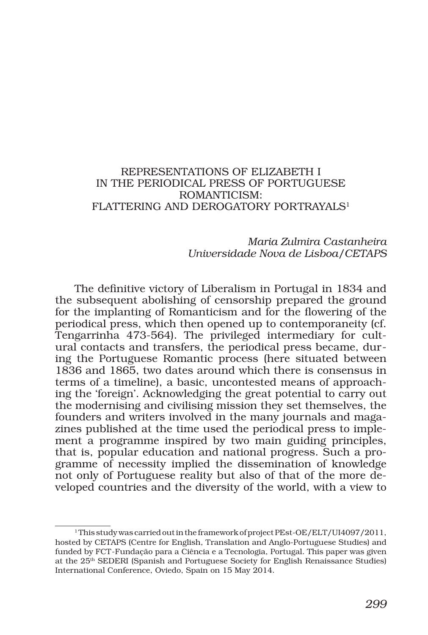## REPRESENTATIONS OF ELIZABETH I IN THE PERIODICAL PRESS OF PORTUGUESE ROMANTICISM: FLATTERING AND DEROGATORY PORTRAYALS<sup>1</sup>

## *Maria Zulmira Castanheira Universidade Nova de Lisboa/CETAPS*

The definitive victory of Liberalism in Portugal in 1834 and the subsequent abolishing of censorship prepared the ground for the implanting of Romanticism and for the flowering of the periodical press, which then opened up to contemporaneity (cf. Tengarrinha 473-564). The privileged intermediary for cultural contacts and transfers, the periodical press became, during the Portuguese Romantic process (here situated between 1836 and 1865, two dates around which there is consensus in terms of a timeline), a basic, uncontested means of approaching the 'foreign'. Acknowledging the great potential to carry out the modernising and civilising mission they set themselves, the founders and writers involved in the many journals and magazines published at the time used the periodical press to implement a programme inspired by two main guiding principles, that is, popular education and national progress. Such a programme of necessity implied the dissemination of knowledge not only of Portuguese reality but also of that of the more developed countries and the diversity of the world, with a view to

<sup>&</sup>lt;sup>1</sup> This study was carried out in the framework of project PEst-OE/ELT/UI4097/2011, hosted by CETAPS (Centre for English, Translation and Anglo-Portuguese Studies) and funded by FCT-Fundação para a Ciência e a Tecnologia, Portugal. This paper was given at the 25th SEDERI (Spanish and Portuguese Society for English Renaissance Studies) International Conference, Oviedo, Spain on 15 May 2014.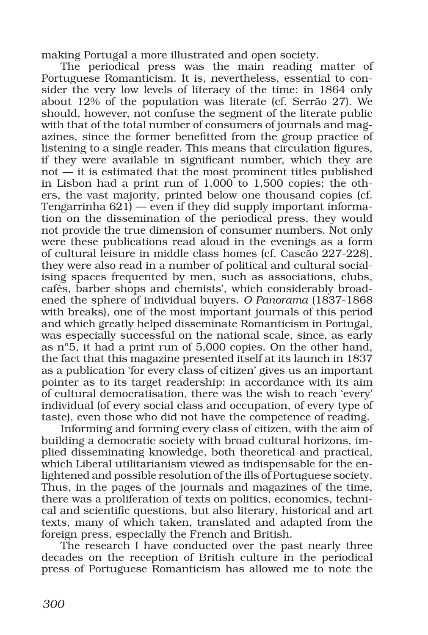making Portugal a more illustrated and open society.

The periodical press was the main reading matter of Portuguese Romanticism. It is, nevertheless, essential to consider the very low levels of literacy of the time: in 1864 only about 12% of the population was literate (cf. Serrão 27). We should, however, not confuse the segment of the literate public with that of the total number of consumers of journals and magazines, since the former benefitted from the group practice of listening to a single reader. This means that circulation figures, if they were available in significant number, which they are not — it is estimated that the most prominent titles published in Lisbon had a print run of 1,000 to 1,500 copies; the others, the vast majority, printed below one thousand copies (cf. Tengarrinha  $621$  – even if they did supply important information on the dissemination of the periodical press, they would not provide the true dimension of consumer numbers. Not only were these publications read aloud in the evenings as a form of cultural leisure in middle class homes (cf. Cascão 227-228), they were also read in a number of political and cultural socialising spaces frequented by men, such as associations, clubs, cafés, barber shops and chemists', which considerably broadened the sphere of individual buyers. *O Panorama* (1837-1868 with breaks), one of the most important journals of this period and which greatly helped disseminate Romanticism in Portugal, was especially successful on the national scale, since, as early as nº5, it had a print run of 5,000 copies. On the other hand, the fact that this magazine presented itself at its launch in 1837 as a publication 'for every class of citizen' gives us an important pointer as to its target readership: in accordance with its aim of cultural democratisation, there was the wish to reach 'every' individual (of every social class and occupation, of every type of taste), even those who did not have the competence of reading.

Informing and forming every class of citizen, with the aim of building a democratic society with broad cultural horizons, implied disseminating knowledge, both theoretical and practical, which Liberal utilitarianism viewed as indispensable for the enlightened and possible resolution of the ills of Portuguese society. Thus, in the pages of the journals and magazines of the time, there was a proliferation of texts on politics, economics, technical and scientific questions, but also literary, historical and art texts, many of which taken, translated and adapted from the foreign press, especially the French and British.

The research I have conducted over the past nearly three decades on the reception of British culture in the periodical press of Portuguese Romanticism has allowed me to note the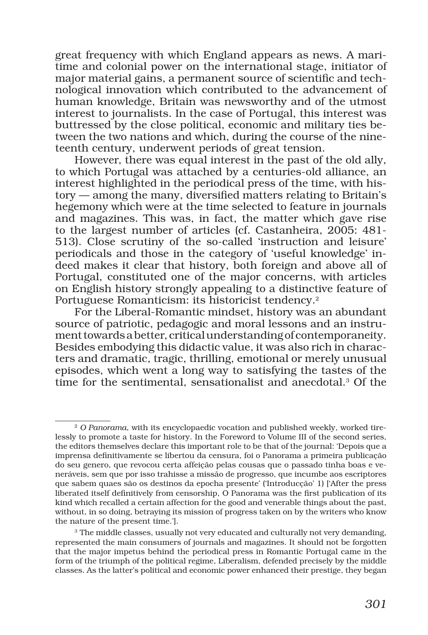great frequency with which England appears as news. A maritime and colonial power on the international stage, initiator of major material gains, a permanent source of scientific and technological innovation which contributed to the advancement of human knowledge, Britain was newsworthy and of the utmost interest to journalists. In the case of Portugal, this interest was buttressed by the close political, economic and military ties between the two nations and which, during the course of the nineteenth century, underwent periods of great tension.

However, there was equal interest in the past of the old ally, to which Portugal was attached by a centuries-old alliance, an interest highlighted in the periodical press of the time, with history — among the many, diversified matters relating to Britain's hegemony which were at the time selected to feature in journals and magazines. This was, in fact, the matter which gave rise to the largest number of articles (cf. Castanheira, 2005: 481- 513). Close scrutiny of the so-called 'instruction and leisure' periodicals and those in the category of 'useful knowledge' indeed makes it clear that history, both foreign and above all of Portugal, constituted one of the major concerns, with articles on English history strongly appealing to a distinctive feature of Portuguese Romanticism: its historicist tendency.2

For the Liberal-Romantic mindset, history was an abundant source of patriotic, pedagogic and moral lessons and an instrument towards a better, critical understanding of contemporaneity. Besides embodying this didactic value, it was also rich in characters and dramatic, tragic, thrilling, emotional or merely unusual episodes, which went a long way to satisfying the tastes of the time for the sentimental, sensationalist and anecdotal.3 Of the

<sup>2</sup> *O Panorama*, with its encyclopaedic vocation and published weekly, worked tirelessly to promote a taste for history. In the Foreword to Volume III of the second series, the editors themselves declare this important role to be that of the journal: 'Depois que a imprensa definitivamente se libertou da censura, foi o Panorama a primeira publicação do seu genero, que revocou certa affeição pelas cousas que o passado tinha boas e veneráveis, sem que por isso trahisse a missão de progresso, que incumbe aos escriptores que sabem quaes são os destinos da epocha presente' ('Introducção' 1) ['After the press liberated itself definitively from censorship, O Panorama was the first publication of its kind which recalled a certain affection for the good and venerable things about the past, without, in so doing, betraying its mission of progress taken on by the writers who know the nature of the present time.'].

<sup>&</sup>lt;sup>3</sup> The middle classes, usually not very educated and culturally not very demanding, represented the main consumers of journals and magazines. It should not be forgotten that the major impetus behind the periodical press in Romantic Portugal came in the form of the triumph of the political regime, Liberalism, defended precisely by the middle classes. As the latter's political and economic power enhanced their prestige, they began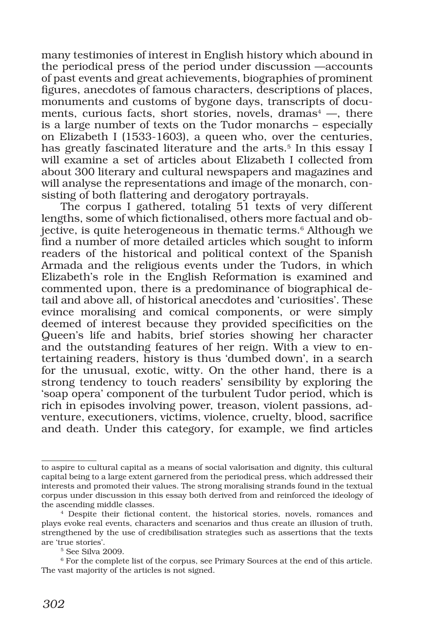many testimonies of interest in English history which abound in the periodical press of the period under discussion —accounts of past events and great achievements, biographies of prominent figures, anecdotes of famous characters, descriptions of places, monuments and customs of bygone days, transcripts of documents, curious facts, short stories, novels, dramas $4 \rightarrow$ , there is a large number of texts on the Tudor monarchs – especially on Elizabeth I (1533-1603), a queen who, over the centuries, has greatly fascinated literature and the arts.<sup>5</sup> In this essay I will examine a set of articles about Elizabeth I collected from about 300 literary and cultural newspapers and magazines and will analyse the representations and image of the monarch, consisting of both flattering and derogatory portrayals.

The corpus I gathered, totaling 51 texts of very different lengths, some of which fictionalised, others more factual and objective, is quite heterogeneous in thematic terms.<sup>6</sup> Although we find a number of more detailed articles which sought to inform readers of the historical and political context of the Spanish Armada and the religious events under the Tudors, in which Elizabeth's role in the English Reformation is examined and commented upon, there is a predominance of biographical detail and above all, of historical anecdotes and 'curiosities'. These evince moralising and comical components, or were simply deemed of interest because they provided specificities on the Queen's life and habits, brief stories showing her character and the outstanding features of her reign. With a view to entertaining readers, history is thus 'dumbed down', in a search for the unusual, exotic, witty. On the other hand, there is a strong tendency to touch readers' sensibility by exploring the 'soap opera' component of the turbulent Tudor period, which is rich in episodes involving power, treason, violent passions, adventure, executioners, victims, violence, cruelty, blood, sacrifice and death. Under this category, for example, we find articles

to aspire to cultural capital as a means of social valorisation and dignity, this cultural capital being to a large extent garnered from the periodical press, which addressed their interests and promoted their values. The strong moralising strands found in the textual corpus under discussion in this essay both derived from and reinforced the ideology of the ascending middle classes.

<sup>4</sup> Despite their fictional content, the historical stories, novels, romances and plays evoke real events, characters and scenarios and thus create an illusion of truth, strengthened by the use of credibilisation strategies such as assertions that the texts are 'true stories'.

<sup>5</sup> See Silva 2009.

<sup>6</sup> For the complete list of the corpus, see Primary Sources at the end of this article. The vast majority of the articles is not signed.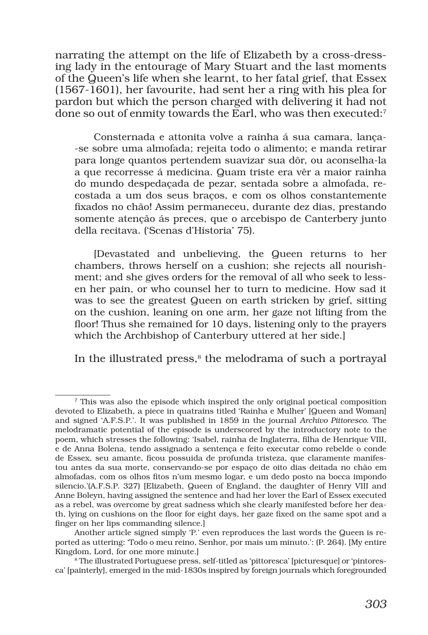narrating the attempt on the life of Elizabeth by a cross-dressing lady in the entourage of Mary Stuart and the last moments of the Queen's life when she learnt, to her fatal grief, that Essex (1567-1601), her favourite, had sent her a ring with his plea for pardon but which the person charged with delivering it had not done so out of enmity towards the Earl, who was then executed:<sup>7</sup>

Consternada e attonita volve a rainha á sua camara, lança- -se sobre uma almofada; rejeita todo o alimento; e manda retirar para longe quantos pertendem suavizar sua dôr, ou aconselha-la a que recorresse á medicina. Quam triste era vêr a maior rainha do mundo despedaçada de pezar, sentada sobre a almofada, recostada a um dos seus braços, e com os olhos constantemente fixados no chão! Assim permaneceu, durante dez dias, prestando somente atenção ás preces, que o arcebispo de Canterbery junto della recitava. ('Scenas d'Historia' 75).

[Devastated and unbelieving, the Queen returns to her chambers, throws herself on a cushion; she rejects all nourishment; and she gives orders for the removal of all who seek to lessen her pain, or who counsel her to turn to medicine. How sad it was to see the greatest Queen on earth stricken by grief, sitting on the cushion, leaning on one arm, her gaze not lifting from the floor! Thus she remained for 10 days, listening only to the prayers which the Archbishop of Canterbury uttered at her side.]

In the illustrated press, $8$  the melodrama of such a portrayal

<sup>&</sup>lt;sup>7</sup> This was also the episode which inspired the only original poetical composition devoted to Elizabeth, a piece in quatrains titled 'Rainha e Mulher' [Queen and Woman] and signed 'A.F.S.P.'. It was published in 1859 in the journal *Archivo Pittoresco*. The melodramatic potential of the episode is underscored by the introductory note to the poem, which stresses the following: 'Isabel, rainha de Inglaterra, filha de Henrique VIII, e de Anna Bolena, tendo assignado a sentença e feito executar como rebelde o conde de Essex, seu amante, ficou possuida de profunda tristeza, que claramente manifestou antes da sua morte, conservando-se por espaço de oito dias deitada no chão em almofadas, com os olhos fitos n'um mesmo logar, e um dedo posto na bocca impondo silencio.'(A.F.S.P. 327) [Elizabeth, Queen of England, the daughter of Henry VIII and Anne Boleyn, having assigned the sentence and had her lover the Earl of Essex executed as a rebel, was overcome by great sadness which she clearly manifested before her death, lying on cushions on the floor for eight days, her gaze fixed on the same spot and a finger on her lips commanding silence.]

Another article signed simply 'P.' even reproduces the last words the Queen is reported as uttering: 'Todo o meu reino, Senhor, por mais um minuto.': (P. 264). [My entire Kingdom, Lord, for one more minute.]

<sup>8</sup> The illustrated Portuguese press, self-titled as 'pittoresca' [picturesque] or 'pintoresca' [painterly], emerged in the mid-1830s inspired by foreign journals which foregrounded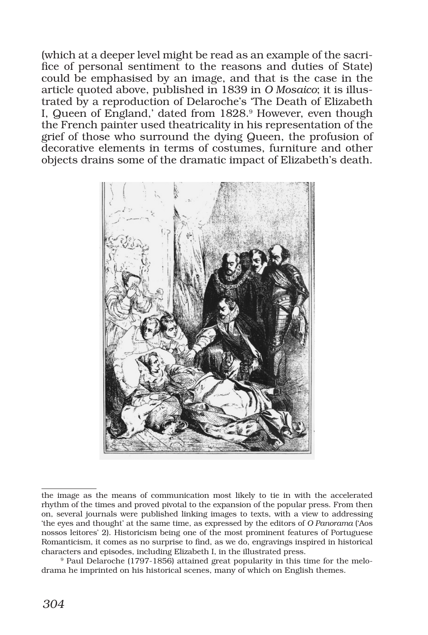(which at a deeper level might be read as an example of the sacrifice of personal sentiment to the reasons and duties of State) could be emphasised by an image, and that is the case in the article quoted above, published in 1839 in *O Mosaico*; it is illustrated by a reproduction of Delaroche's 'The Death of Elizabeth I, Queen of England,' dated from 1828.<sup>9</sup> However, even though the French painter used theatricality in his representation of the grief of those who surround the dying Queen, the profusion of decorative elements in terms of costumes, furniture and other objects drains some of the dramatic impact of Elizabeth's death.



the image as the means of communication most likely to tie in with the accelerated rhythm of the times and proved pivotal to the expansion of the popular press. From then on, several journals were published linking images to texts, with a view to addressing 'the eyes and thought' at the same time, as expressed by the editors of *O Panorama* ('Aos nossos leitores' 2). Historicism being one of the most prominent features of Portuguese Romanticism, it comes as no surprise to find, as we do, engravings inspired in historical characters and episodes, including Elizabeth I, in the illustrated press.

<sup>9</sup> Paul Delaroche (1797-1856) attained great popularity in this time for the melodrama he imprinted on his historical scenes, many of which on English themes.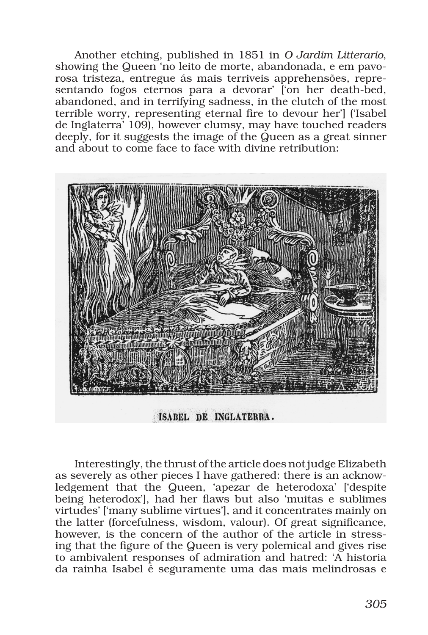Another etching, published in 1851 in *O Jardim Litterario*, showing the Queen 'no leito de morte, abandonada, e em pavorosa tristeza, entregue ás mais terriveis apprehensões, representando fogos eternos para a devorar' l'on her death-bed, abandoned, and in terrifying sadness, in the clutch of the most terrible worry, representing eternal fire to devour her'] ('Isabel de Inglaterra' 109), however clumsy, may have touched readers deeply, for it suggests the image of the Queen as a great sinner and about to come face to face with divine retribution:



ISABEL DE INGLATERRA.

Interestingly, the thrust of the article does not judge Elizabeth as severely as other pieces I have gathered: there is an acknowledgement that the Queen, 'apezar de heterodoxa' ['despite being heterodox'], had her flaws but also 'muitas e sublimes virtudes' ['many sublime virtues'], and it concentrates mainly on the latter (forcefulness, wisdom, valour). Of great significance, however, is the concern of the author of the article in stressing that the figure of the Queen is very polemical and gives rise to ambivalent responses of admiration and hatred: 'A historia da rainha Isabel é seguramente uma das mais melindrosas e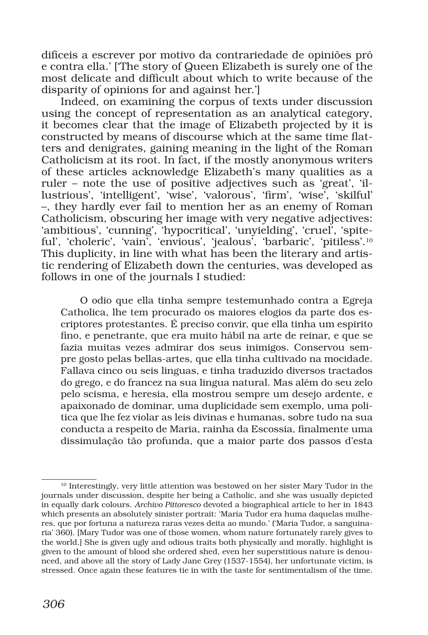difíceis a escrever por motivo da contrariedade de opiniões pró e contra ella.' ['The story of Queen Elizabeth is surely one of the most delicate and difficult about which to write because of the disparity of opinions for and against her.']

Indeed, on examining the corpus of texts under discussion using the concept of representation as an analytical category, it becomes clear that the image of Elizabeth projected by it is constructed by means of discourse which at the same time flatters and denigrates, gaining meaning in the light of the Roman Catholicism at its root. In fact, if the mostly anonymous writers of these articles acknowledge Elizabeth's many qualities as a ruler – note the use of positive adjectives such as 'great', 'illustrious', 'intelligent', 'wise', 'valorous', 'firm', 'wise', 'skilful' –, they hardly ever fail to mention her as an enemy of Roman Catholicism, obscuring her image with very negative adjectives: 'ambitious', 'cunning', 'hypocritical', 'unyielding', 'cruel', 'spiteful', 'choleric', 'vain', 'envious', 'jealous', 'barbaric', 'pitiless'.<sup>10</sup> This duplicity, in line with what has been the literary and artistic rendering of Elizabeth down the centuries, was developed as follows in one of the journals I studied:

O odio que ella tinha sempre testemunhado contra a Egreja Catholica, lhe tem procurado os maiores elogios da parte dos escriptores protestantes. É preciso convir, que ella tinha um espirito fino, e penetrante, que era muito hábil na arte de reinar, e que se fazia muitas vezes admirar dos seus inimigos. Conservou sempre gosto pelas bellas-artes, que ella tinha cultivado na mocidade. Fallava cinco ou seis linguas, e tinha traduzido diversos tractados do grego, e do francez na sua lingua natural. Mas além do seu zelo pelo scisma, e heresia, ella mostrou sempre um desejo ardente, e apaixonado de dominar, uma duplicidade sem exemplo, uma politica que lhe fez violar as leis divinas e humanas, sobre tudo na sua conducta a respeito de Maria, rainha da Escossia, finalmente uma dissimulação tão profunda, que a maior parte dos passos d'esta

<sup>&</sup>lt;sup>10</sup> Interestingly, very little attention was bestowed on her sister Mary Tudor in the journals under discussion, despite her being a Catholic, and she was usually depicted in equally dark colours. *Archivo Pittoresco* devoted a biographical article to her in 1843 which presents an absolutely sinister portrait: 'Maria Tudor era huma daquelas mulheres, que por fortuna a natureza raras vezes deita ao mundo.' ('Maria Tudor, a sanguinaria' 360). [Mary Tudor was one of those women, whom nature fortunately rarely gives to the world.] She is given ugly and odious traits both physically and morally, highlight is given to the amount of blood she ordered shed, even her superstitious nature is denounced, and above all the story of Lady Jane Grey (1537-1554), her unfortunate victim, is stressed. Once again these features tie in with the taste for sentimentalism of the time.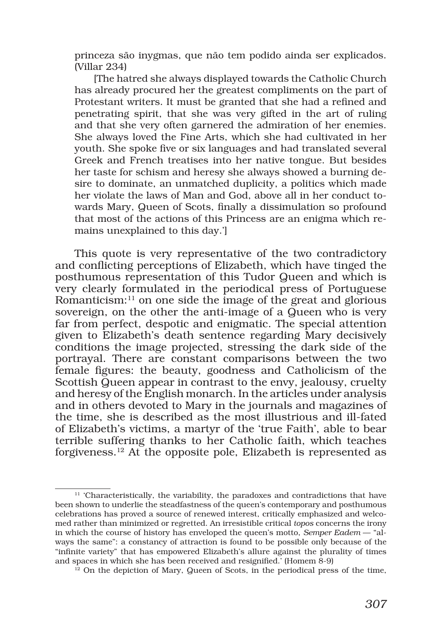princeza são inygmas, que não tem podido ainda ser explicados. (Villar 234)

[The hatred she always displayed towards the Catholic Church has already procured her the greatest compliments on the part of Protestant writers. It must be granted that she had a refined and penetrating spirit, that she was very gifted in the art of ruling and that she very often garnered the admiration of her enemies. She always loved the Fine Arts, which she had cultivated in her youth. She spoke five or six languages and had translated several Greek and French treatises into her native tongue. But besides her taste for schism and heresy she always showed a burning desire to dominate, an unmatched duplicity, a politics which made her violate the laws of Man and God, above all in her conduct towards Mary, Queen of Scots, finally a dissimulation so profound that most of the actions of this Princess are an enigma which remains unexplained to this day.']

This quote is very representative of the two contradictory and conflicting perceptions of Elizabeth, which have tinged the posthumous representation of this Tudor Queen and which is very clearly formulated in the periodical press of Portuguese Romanticism: $^{11}$  on one side the image of the great and glorious sovereign, on the other the anti-image of a Queen who is very far from perfect, despotic and enigmatic. The special attention given to Elizabeth's death sentence regarding Mary decisively conditions the image projected, stressing the dark side of the portrayal. There are constant comparisons between the two female figures: the beauty, goodness and Catholicism of the Scottish Queen appear in contrast to the envy, jealousy, cruelty and heresy of the English monarch. In the articles under analysis and in others devoted to Mary in the journals and magazines of the time, she is described as the most illustrious and ill-fated of Elizabeth's victims, a martyr of the 'true Faith', able to bear terrible suffering thanks to her Catholic faith, which teaches forgiveness.12 At the opposite pole, Elizabeth is represented as

 $11$  'Characteristically, the variability, the paradoxes and contradictions that have been shown to underlie the steadfastness of the queen's contemporary and posthumous celebrations has proved a source of renewed interest, critically emphasized and welcomed rather than minimized or regretted. An irresistible critical *topos* concerns the irony in which the course of history has enveloped the queen's motto, *Semper Eadem* — "always the same": a constancy of attraction is found to be possible only because of the "infinite variety" that has empowered Elizabeth's allure against the plurality of times and spaces in which she has been received and resignified.' (Homem 8-9)

 $12$  On the depiction of Mary, Queen of Scots, in the periodical press of the time,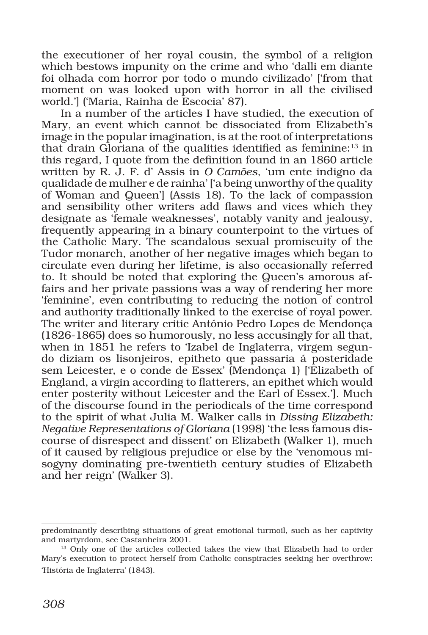the executioner of her royal cousin, the symbol of a religion which bestows impunity on the crime and who 'dalli em diante foi olhada com horror por todo o mundo civilizado' ['from that moment on was looked upon with horror in all the civilised world.'] ('Maria, Rainha de Escocia' 87).

In a number of the articles I have studied, the execution of Mary, an event which cannot be dissociated from Elizabeth's image in the popular imagination, is at the root of interpretations that drain Gloriana of the qualities identified as feminine:<sup>13</sup> in this regard, I quote from the definition found in an 1860 article written by R. J. F. d' Assis in *O Camões*, 'um ente indigno da qualidade de mulher e de rainha' ['a being unworthy of the quality of Woman and Queen'] (Assis 18). To the lack of compassion and sensibility other writers add flaws and vices which they designate as 'female weaknesses', notably vanity and jealousy, frequently appearing in a binary counterpoint to the virtues of the Catholic Mary. The scandalous sexual promiscuity of the Tudor monarch, another of her negative images which began to circulate even during her lifetime, is also occasionally referred to. It should be noted that exploring the Queen's amorous affairs and her private passions was a way of rendering her more 'feminine', even contributing to reducing the notion of control and authority traditionally linked to the exercise of royal power. The writer and literary critic António Pedro Lopes de Mendonça (1826-1865) does so humorously, no less accusingly for all that, when in 1851 he refers to 'Izabel de Inglaterra, virgem segundo diziam os lisonjeiros, epitheto que passaria á posteridade sem Leicester, e o conde de Essex' (Mendonça 1) ['Elizabeth of England, a virgin according to flatterers, an epithet which would enter posterity without Leicester and the Earl of Essex.']. Much of the discourse found in the periodicals of the time correspond to the spirit of what Julia M. Walker calls in *Dissing Elizabeth: Negative Representations of Gloriana* (1998) 'the less famous discourse of disrespect and dissent' on Elizabeth (Walker 1), much of it caused by religious prejudice or else by the 'venomous misogyny dominating pre-twentieth century studies of Elizabeth and her reign' (Walker 3).

predominantly describing situations of great emotional turmoil, such as her captivity and martyrdom, see Castanheira 2001.

<sup>&</sup>lt;sup>13</sup> Only one of the articles collected takes the view that Elizabeth had to order Mary's execution to protect herself from Catholic conspiracies seeking her overthrow: 'História de Inglaterra' (1843).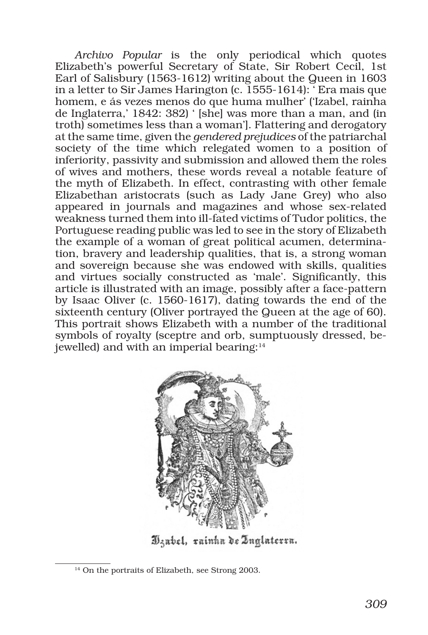*Archivo Popular* is the only periodical which quotes Elizabeth's powerful Secretary of State, Sir Robert Cecil, 1st Earl of Salisbury (1563-1612) writing about the Queen in 1603 in a letter to Sir James Harington (c. 1555-1614): ' Era mais que homem, e ás vezes menos do que huma mulher' ('Izabel, rainha de Inglaterra,' 1842: 382) ' [she] was more than a man, and (in troth) sometimes less than a woman']. Flattering and derogatory at the same time, given the *gendered prejudices* of the patriarchal society of the time which relegated women to a position of inferiority, passivity and submission and allowed them the roles of wives and mothers, these words reveal a notable feature of the myth of Elizabeth. In effect, contrasting with other female Elizabethan aristocrats (such as Lady Jane Grey) who also appeared in journals and magazines and whose sex-related weakness turned them into ill-fated victims of Tudor politics, the Portuguese reading public was led to see in the story of Elizabeth the example of a woman of great political acumen, determination, bravery and leadership qualities, that is, a strong woman and sovereign because she was endowed with skills, qualities and virtues socially constructed as 'male'. Significantly, this article is illustrated with an image, possibly after a face-pattern by Isaac Oliver (c. 1560-1617), dating towards the end of the sixteenth century (Oliver portrayed the Queen at the age of 60). This portrait shows Elizabeth with a number of the traditional symbols of royalty (sceptre and orb, sumptuously dressed, bejewelled) and with an imperial bearing:14



Dzabel, rainha de Inglaterra.

<sup>&</sup>lt;sup>14</sup> On the portraits of Elizabeth, see Strong 2003.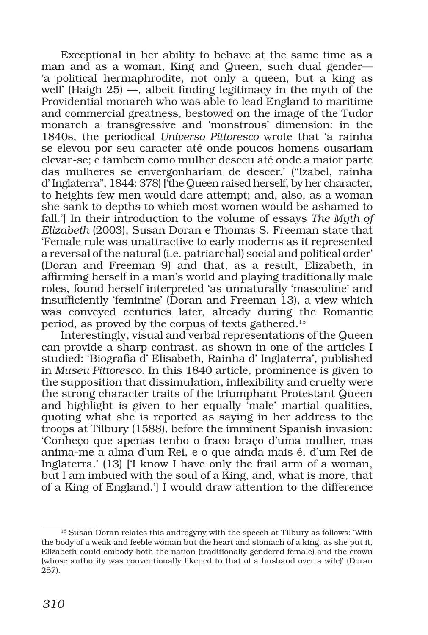Exceptional in her ability to behave at the same time as a man and as a woman, King and Queen, such dual gender— 'a political hermaphrodite, not only a queen, but a king as well' (Haigh  $25$ ) —, albeit finding legitimacy in the myth of the Providential monarch who was able to lead England to maritime and commercial greatness, bestowed on the image of the Tudor monarch a transgressive and 'monstrous' dimension: in the 1840s, the periodical *Universo Pittoresco* wrote that 'a rainha se elevou por seu caracter até onde poucos homens ousariam elevar-se; e tambem como mulher desceu até onde a maior parte das mulheres se envergonhariam de descer.' ("Izabel, rainha d' Inglaterra", 1844: 378) ['the Queen raised herself, by her character, to heights few men would dare attempt; and, also, as a woman she sank to depths to which most women would be ashamed to fall.'] In their introduction to the volume of essays *The Myth of Elizabeth* (2003), Susan Doran e Thomas S. Freeman state that 'Female rule was unattractive to early moderns as it represented a reversal of the natural (i.e. patriarchal) social and political order' (Doran and Freeman 9) and that, as a result, Elizabeth, in affirming herself in a man's world and playing traditionally male roles, found herself interpreted 'as unnaturally 'masculine' and insufficiently 'feminine' (Doran and Freeman 13), a view which was conveyed centuries later, already during the Romantic period, as proved by the corpus of texts gathered.15

Interestingly, visual and verbal representations of the Queen can provide a sharp contrast, as shown in one of the articles I studied: 'Biografia d' Elisabeth, Rainha d' Inglaterra', published in *Museu Pittoresco*. In this 1840 article, prominence is given to the supposition that dissimulation, inflexibility and cruelty were the strong character traits of the triumphant Protestant Queen and highlight is given to her equally 'male' martial qualities, quoting what she is reported as saying in her address to the troops at Tilbury (1588), before the imminent Spanish invasion: 'Conheço que apenas tenho o fraco braço d'uma mulher, mas anima-me a alma d'um Rei, e o que ainda mais é, d'um Rei de Inglaterra.' (13) ['I know I have only the frail arm of a woman, but I am imbued with the soul of a King, and, what is more, that of a King of England.'] I would draw attention to the difference

<sup>&</sup>lt;sup>15</sup> Susan Doran relates this androgyny with the speech at Tilbury as follows: 'With the body of a weak and feeble woman but the heart and stomach of a king, as she put it, Elizabeth could embody both the nation (traditionally gendered female) and the crown (whose authority was conventionally likened to that of a husband over a wife)' (Doran 257).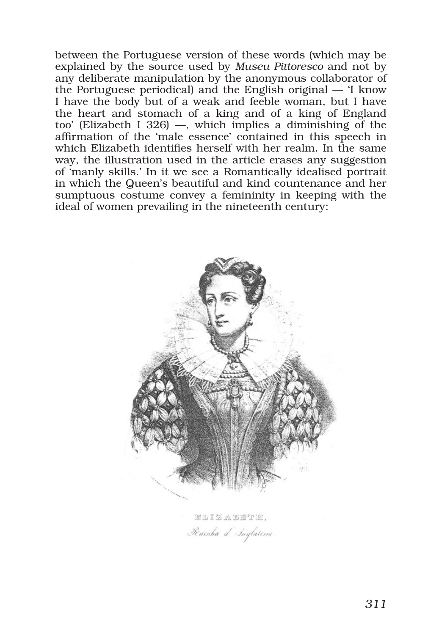between the Portuguese version of these words (which may be explained by the source used by *Museu Pittoresco* and not by any deliberate manipulation by the anonymous collaborator of the Portuguese periodical) and the English original — 'I know I have the body but of a weak and feeble woman, but I have the heart and stomach of a king and of a king of England too' (Elizabeth I 326) —, which implies a diminishing of the affirmation of the 'male essence' contained in this speech in which Elizabeth identifies herself with her realm. In the same way, the illustration used in the article erases any suggestion of 'manly skills.' In it we see a Romantically idealised portrait in which the Queen's beautiful and kind countenance and her sumptuous costume convey a femininity in keeping with the ideal of women prevailing in the nineteenth century:



ELIZABETIEI, Rainha d'Inglateme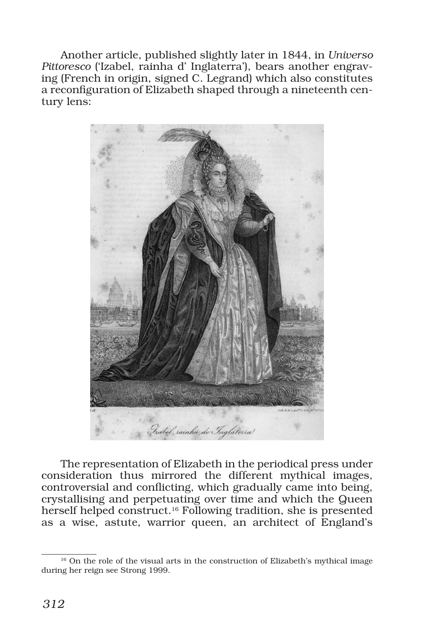Another article, published slightly later in 1844, in *Universo Pittoresco* ('Izabel, rainha d' Inglaterra'), bears another engraving (French in origin, signed C. Legrand) which also constitutes a reconfiguration of Elizabeth shaped through a nineteenth century lens:



The representation of Elizabeth in the periodical press under consideration thus mirrored the different mythical images, controversial and conflicting, which gradually came into being, crystallising and perpetuating over time and which the Queen herself helped construct.16 Following tradition, she is presented as a wise, astute, warrior queen, an architect of England's

<sup>&</sup>lt;sup>16</sup> On the role of the visual arts in the construction of Elizabeth's mythical image during her reign see Strong 1999.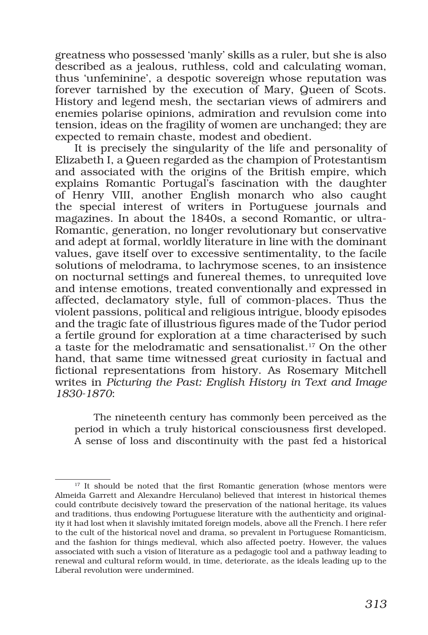greatness who possessed 'manly' skills as a ruler, but she is also described as a jealous, ruthless, cold and calculating woman, thus 'unfeminine', a despotic sovereign whose reputation was forever tarnished by the execution of Mary, Queen of Scots. History and legend mesh, the sectarian views of admirers and enemies polarise opinions, admiration and revulsion come into tension, ideas on the fragility of women are unchanged; they are expected to remain chaste, modest and obedient.

It is precisely the singularity of the life and personality of Elizabeth I, a Queen regarded as the champion of Protestantism and associated with the origins of the British empire, which explains Romantic Portugal's fascination with the daughter of Henry VIII, another English monarch who also caught the special interest of writers in Portuguese journals and magazines. In about the 1840s, a second Romantic, or ultra-Romantic, generation, no longer revolutionary but conservative and adept at formal, worldly literature in line with the dominant values, gave itself over to excessive sentimentality, to the facile solutions of melodrama, to lachrymose scenes, to an insistence on nocturnal settings and funereal themes, to unrequited love and intense emotions, treated conventionally and expressed in affected, declamatory style, full of common-places. Thus the violent passions, political and religious intrigue, bloody episodes and the tragic fate of illustrious figures made of the Tudor period a fertile ground for exploration at a time characterised by such a taste for the melodramatic and sensationalist.17 On the other hand, that same time witnessed great curiosity in factual and fictional representations from history. As Rosemary Mitchell writes in *Picturing the Past: English History in Text and Image 1830-1870*:

The nineteenth century has commonly been perceived as the period in which a truly historical consciousness first developed. A sense of loss and discontinuity with the past fed a historical

<sup>&</sup>lt;sup>17</sup> It should be noted that the first Romantic generation (whose mentors were Almeida Garrett and Alexandre Herculano) believed that interest in historical themes could contribute decisively toward the preservation of the national heritage, its values and traditions, thus endowing Portuguese literature with the authenticity and originality it had lost when it slavishly imitated foreign models, above all the French. I here refer to the cult of the historical novel and drama, so prevalent in Portuguese Romanticism, and the fashion for things medieval, which also affected poetry. However, the values associated with such a vision of literature as a pedagogic tool and a pathway leading to renewal and cultural reform would, in time, deteriorate, as the ideals leading up to the Liberal revolution were undermined.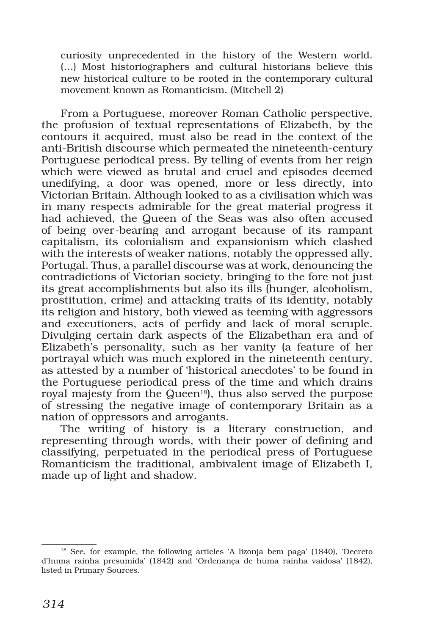curiosity unprecedented in the history of the Western world. (…) Most historiographers and cultural historians believe this new historical culture to be rooted in the contemporary cultural movement known as Romanticism. (Mitchell 2)

From a Portuguese, moreover Roman Catholic perspective, the profusion of textual representations of Elizabeth, by the contours it acquired, must also be read in the context of the anti-British discourse which permeated the nineteenth-century Portuguese periodical press. By telling of events from her reign which were viewed as brutal and cruel and episodes deemed unedifying, a door was opened, more or less directly, into Victorian Britain. Although looked to as a civilisation which was in many respects admirable for the great material progress it had achieved, the Queen of the Seas was also often accused of being over-bearing and arrogant because of its rampant capitalism, its colonialism and expansionism which clashed with the interests of weaker nations, notably the oppressed ally, Portugal. Thus, a parallel discourse was at work, denouncing the contradictions of Victorian society, bringing to the fore not just its great accomplishments but also its ills (hunger, alcoholism, prostitution, crime) and attacking traits of its identity, notably its religion and history, both viewed as teeming with aggressors and executioners, acts of perfidy and lack of moral scruple. Divulging certain dark aspects of the Elizabethan era and of Elizabeth's personality, such as her vanity (a feature of her portrayal which was much explored in the nineteenth century, as attested by a number of 'historical anecdotes' to be found in the Portuguese periodical press of the time and which drains royal majesty from the Queen<sup>18</sup>), thus also served the purpose of stressing the negative image of contemporary Britain as a nation of oppressors and arrogants.

The writing of history is a literary construction, and representing through words, with their power of defining and classifying, perpetuated in the periodical press of Portuguese Romanticism the traditional, ambivalent image of Elizabeth I, made up of light and shadow.

<sup>18</sup> See, for example, the following articles 'A lizonja bem paga' (1840), 'Decreto d'huma rainha presumida' (1842) and 'Ordenança de huma rainha vaidosa' (1842), listed in Primary Sources.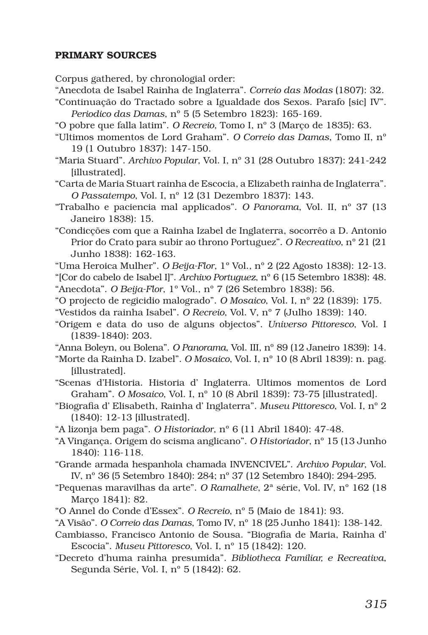## PRIMARY SOURCES

Corpus gathered, by chronologial order:

- "Anecdota de Isabel Rainha de Inglaterra". *Correio das Modas* (1807): 32.
- "Continuação do Tractado sobre a Igualdade dos Sexos. Parafo [sic] IV". *Periodico das Damas*, nº 5 (5 Setembro 1823): 165-169.
- "O pobre que falla latim". *O Recreio*, Tomo I, nº 3 (Março de 1835): 63.
- "Ultimos momentos de Lord Graham". *O Correio das Damas*, Tomo II, nº 19 (1 Outubro 1837): 147-150.
- "Maria Stuard". *Archivo Popular*, Vol. I, nº 31 (28 Outubro 1837): 241-242 [illustrated].
- "Carta de Maria Stuart rainha de Escocia, a Elizabeth rainha de Inglaterra". *O Passatempo*, Vol. I, nº 12 (31 Dezembro 1837): 143.
- "Trabalho e paciencia mal applicados". *O Panorama*, Vol. II, nº 37 (13 Janeiro 1838): 15.
- "Condicções com que a Rainha Izabel de Inglaterra, socorrêo a D. Antonio Prior do Crato para subir ao throno Portuguez". *O Recreativo*, nº 21 (21 Junho 1838): 162-163.
- "Uma Heroica Mulher". *O Beija-Flor*, 1º Vol., nº 2 (22 Agosto 1838): 12-13.
- "[Cor do cabelo de Isabel I]". *Archivo Portuguez*, nº 6 (15 Setembro 1838): 48. "Anecdota". *O Beija-Flor*, 1º Vol., nº 7 (26 Setembro 1838): 56.
- "O projecto de regicidio malogrado". *O Mosaico*, Vol. I, nº 22 (1839): 175.
- "Vestidos da rainha Isabel". *O Recreio*, Vol. V, nº 7 (Julho 1839): 140.
- "Origem e data do uso de alguns objectos". *Universo Pittoresco*, Vol. I (1839-1840): 203.
- "Anna Boleyn, ou Bolena". *O Panorama*, Vol. III, nº 89 (12 Janeiro 1839): 14.
- "Morte da Rainha D. Izabel". *O Mosaico*, Vol. I, nº 10 (8 Abril 1839): n. pag. [illustrated].
- "Scenas d'Historia. Historia d' Inglaterra. Ultimos momentos de Lord Graham". *O Mosaico*, Vol. I, nº 10 (8 Abril 1839): 73-75 [illustrated].
- "Biografia d' Elisabeth, Rainha d' Inglaterra". *Museu Pittoresco*, Vol. I, nº 2 (1840): 12-13 [illustrated].
- "A lizonja bem paga". *O Historiador*, nº 6 (11 Abril 1840): 47-48.
- "A Vingança. Origem do scisma anglicano". *O Historiador*, nº 15 (13 Junho 1840): 116-118.
- "Grande armada hespanhola chamada INVENCIVEL". *Archivo Popular*, Vol. IV, nº 36 (5 Setembro 1840): 284; nº 37 (12 Setembro 1840): 294-295.
- "Pequenas maravilhas da arte". *O Ramalhete*, 2ª série, Vol. IV, nº 162 (18 Março 1841): 82.
- "O Annel do Conde d'Essex". *O Recreio*, nº 5 (Maio de 1841): 93.
- "A Visão". *O Correio das Damas*, Tomo IV, nº 18 (25 Junho 1841): 138-142.
- Cambiasso, Francisco Antonio de Sousa. "Biografia de Maria, Rainha d' Escocia". *Museu Pittoresco*, Vol. I, nº 15 (1842): 120.
- "Decreto d'huma rainha presumida". *Bibliotheca Familiar, e Recreativa*, Segunda Série, Vol. I, nº 5 (1842): 62.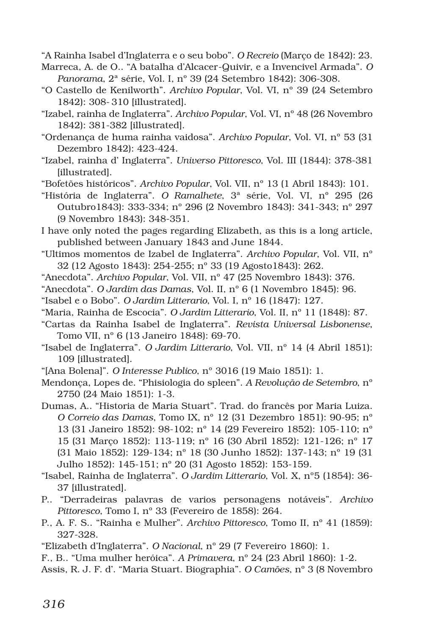"A Rainha Isabel d'Inglaterra e o seu bobo". *O Recreio* (Março de 1842): 23.

- Marreca, A. de O.. "A batalha d'Alcacer-Quivir, e a Invencivel Armada". *O Panorama*, 2ª série, Vol. I, nº 39 (24 Setembro 1842): 306-308.
- "O Castello de Kenilworth". *Archivo Popular*, Vol. VI, nº 39 (24 Setembro 1842): 308- 310 [illustrated].
- "Izabel, rainha de Inglaterra". *Archivo Popular*, Vol. VI, nº 48 (26 Novembro 1842): 381-382 [illustrated].
- "Ordenança de huma rainha vaidosa". *Archivo Popular*, Vol. VI, nº 53 (31 Dezembro 1842): 423-424.
- "Izabel, rainha d' Inglaterra". *Universo Pittoresco*, Vol. III (1844): 378-381 [illustrated].
- "Bofetões históricos". *Archivo Popular*, Vol. VII, nº 13 (1 Abril 1843): 101.
- "História de Inglaterra". *O Ramalhete*, 3ª série, Vol. VI, nº 295 (26 Outubro1843): 333-334; nº 296 (2 Novembro 1843): 341-343; nº 297 (9 Novembro 1843): 348-351.
- I have only noted the pages regarding Elizabeth, as this is a long article, published between January 1843 and June 1844.
- "Ultimos momentos de Izabel de Inglaterra". *Archivo Popular*, Vol. VII, nº 32 (12 Agosto 1843): 254-255; nº 33 (19 Agosto1843): 262.
- "Anecdota". *Archivo Popular*, Vol. VII, nº 47 (25 Novembro 1843): 376.
- "Anecdota". *O Jardim das Damas*, Vol. II, nº 6 (1 Novembro 1845): 96.
- "Isabel e o Bobo". *O Jardim Litterario*, Vol. I, nº 16 (1847): 127.
- "Maria, Rainha de Escocia". *O Jardim Litterario*, Vol. II, nº 11 (1848): 87.
- "Cartas da Rainha Isabel de Inglaterra". *Revista Universal Lisbonense*, Tomo VII, nº 6 (13 Janeiro 1848): 69-70.
- "Isabel de Inglaterra". *O Jardim Litterario*, Vol. VII, nº 14 (4 Abril 1851): 109 [illustrated].
- "[Ana Bolena]". *O Interesse Publico*, nº 3016 (19 Maio 1851): 1.
- Mendonça, Lopes de. "Phisiologia do spleen". *A Revolução de Setembro*, nº 2750 (24 Maio 1851): 1-3.
- Dumas, A.. "Historia de Maria Stuart". Trad. do francês por Maria Luiza. *O Correio das Damas*, Tomo IX, nº 12 (31 Dezembro 1851): 90-95; nº 13 (31 Janeiro 1852): 98-102; nº 14 (29 Fevereiro 1852): 105-110; nº 15 (31 Março 1852): 113-119; nº 16 (30 Abril 1852): 121-126; nº 17 (31 Maio 1852): 129-134; nº 18 (30 Junho 1852): 137-143; nº 19 (31 Julho 1852): 145-151; nº 20 (31 Agosto 1852): 153-159.
- "Isabel, Rainha de Inglaterra". *O Jardim Litterario*, Vol. X, nº5 (1854): 36- 37 [illustrated].
- P.. "Derradeiras palavras de varios personagens notáveis". *Archivo Pittoresco*, Tomo I, nº 33 (Fevereiro de 1858): 264.
- P., A. F. S.. "Rainha e Mulher". *Archivo Pittoresco*, Tomo II, nº 41 (1859): 327-328.
- "Elizabeth d'Inglaterra". *O Nacional*, nº 29 (7 Fevereiro 1860): 1.
- F., B.. "Uma mulher heróica". *A Primavera*, nº 24 (23 Abril 1860): 1-2.
- Assis, R. J. F. d'. "Maria Stuart. Biographia". *O Camões*, nº 3 (8 Novembro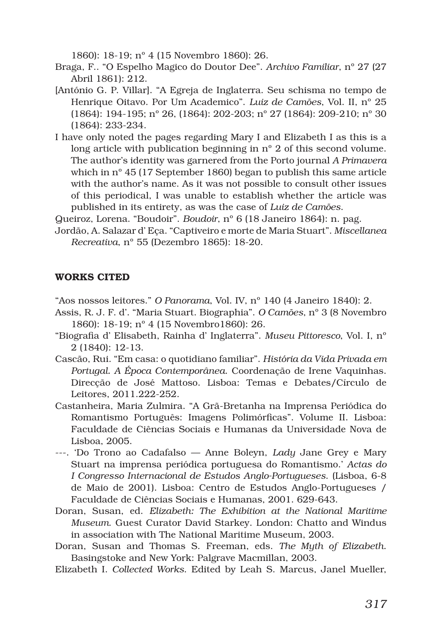1860): 18-19; nº 4 (15 Novembro 1860): 26.

- Braga, F.. "O Espelho Magico do Doutor Dee". *Archivo Familiar*, nº 27 (27 Abril 1861): 212.
- [António G. P. Villar]. "A Egreja de Inglaterra. Seu schisma no tempo de Henrique Oitavo. Por Um Academico". *Luiz de Camões*, Vol. II, nº 25 (1864): 194-195; nº 26, (1864): 202-203; nº 27 (1864): 209-210; nº 30 (1864): 233-234.
- I have only noted the pages regarding Mary I and Elizabeth I as this is a long article with publication beginning in nº 2 of this second volume. The author's identity was garnered from the Porto journal *A Primavera* which in nº 45 (17 September 1860) began to publish this same article with the author's name. As it was not possible to consult other issues of this periodical, I was unable to establish whether the article was published in its entirety, as was the case of *Luiz de Camões*.
- Queiroz, Lorena. "Boudoir". *Boudoir*, nº 6 (18 Janeiro 1864): n. pag.
- Jordão, A. Salazar d' Eça. "Captiveiro e morte de Maria Stuart". *Miscellanea Recreativa*, nº 55 (Dezembro 1865): 18-20.

## WORKS CITED

"Aos nossos leitores." *O Panorama*, Vol. IV, nº 140 (4 Janeiro 1840): 2.

- Assis, R. J. F. d'. "Maria Stuart. Biographia". *O Camões*, nº 3 (8 Novembro 1860): 18-19; nº 4 (15 Novembro1860): 26.
- "Biografia d' Elisabeth, Rainha d' Inglaterra". *Museu Pittoresco*, Vol. I, nº 2 (1840): 12-13.
- Cascão, Rui. "Em casa: o quotidiano familiar". *História da Vida Privada em Portugal. A Época Contemporânea*. Coordenação de Irene Vaquinhas. Direcção de José Mattoso. Lisboa: Temas e Debates/Círculo de Leitores, 2011.222-252.
- Castanheira, Maria Zulmira. "A Grã-Bretanha na Imprensa Periódica do Romantismo Português: Imagens Polimórficas". Volume II. Lisboa: Faculdade de Ciências Sociais e Humanas da Universidade Nova de Lisboa, 2005.
- ---. 'Do Trono ao Cadafalso Anne Boleyn, *Lady* Jane Grey e Mary Stuart na imprensa periódica portuguesa do Romantismo.' *Actas do I Congresso Internacional de Estudos Anglo-Portugueses*. (Lisboa, 6-8 de Maio de 2001). Lisboa: Centro de Estudos Anglo-Portugueses / Faculdade de Ciências Sociais e Humanas, 2001. 629-643.
- Doran, Susan, ed. *Elizabeth: The Exhibition at the National Maritime Museum*. Guest Curator David Starkey. London: Chatto and Windus in association with The National Maritime Museum, 2003.
- Doran, Susan and Thomas S. Freeman, eds. *The Myth of Elizabeth*. Basingstoke and New York: Palgrave Macmillan, 2003.
- Elizabeth I. *Collected Works*. Edited by Leah S. Marcus, Janel Mueller,